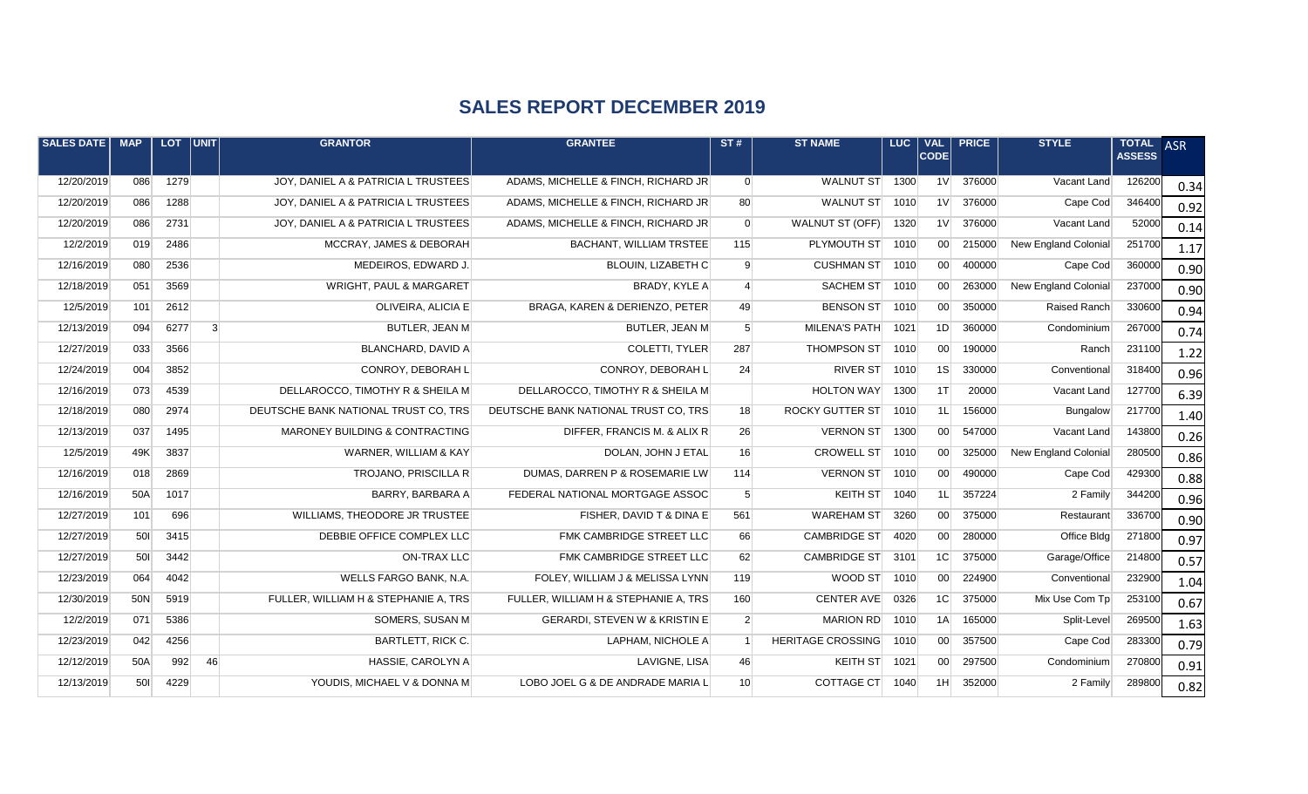## **SALES REPORT DECEMBER 2019**

| SALES DATE | <b>MAP</b> | <b>LOT</b> | $ $ UNIT $ $   | <b>GRANTOR</b>                       | <b>GRANTEE</b>                           | ST#             | <b>ST NAME</b>           | LUC. | <b>VAL</b><br> CODE | <b>PRICE</b> | <b>STYLE</b>                | TOTAL ASR<br><b>ASSESS</b> |      |
|------------|------------|------------|----------------|--------------------------------------|------------------------------------------|-----------------|--------------------------|------|---------------------|--------------|-----------------------------|----------------------------|------|
| 12/20/2019 | 086        | 1279       |                | JOY, DANIEL A & PATRICIA L TRUSTEES  | ADAMS, MICHELLE & FINCH, RICHARD JR      | $\overline{0}$  | <b>WALNUT ST</b>         | 1300 | 1 <sup>V</sup>      | 376000       | Vacant Land                 | 126200                     | 0.34 |
| 12/20/2019 | 086        | 1288       |                | JOY, DANIEL A & PATRICIA L TRUSTEES  | ADAMS, MICHELLE & FINCH, RICHARD JR      | 80              | <b>WALNUT ST</b>         | 1010 | 1 <sup>V</sup>      | 376000       | Cape Cod                    | 346400                     | 0.92 |
| 12/20/2019 | 086        | 2731       |                | JOY, DANIEL A & PATRICIA L TRUSTEES  | ADAMS, MICHELLE & FINCH, RICHARD JR      | $\overline{0}$  | <b>WALNUT ST (OFF)</b>   | 1320 | 1 <sup>V</sup>      | 376000       | Vacant Land                 | 52000                      | 0.14 |
| 12/2/2019  | 019        | 2486       |                | MCCRAY, JAMES & DEBORAH              | <b>BACHANT, WILLIAM TRSTEE</b>           | 115             | PLYMOUTH ST              | 1010 | 00 <sup>1</sup>     | 215000       | <b>New England Colonial</b> | 251700                     | 1.17 |
| 12/16/2019 | 080        | 2536       |                | MEDEIROS, EDWARD J.                  | <b>BLOUIN, LIZABETH C</b>                | 9               | <b>CUSHMAN ST</b>        | 1010 | 00                  | 400000       | Cape Cod                    | 360000                     | 0.90 |
| 12/18/2019 | 051        | 3569       |                | WRIGHT, PAUL & MARGARET              | BRADY, KYLE A                            | $\overline{4}$  | <b>SACHEM ST</b>         | 1010 | 00 <sup>1</sup>     | 263000       | New England Colonial        | 237000                     | 0.90 |
| 12/5/2019  | 101        | 2612       |                | OLIVEIRA, ALICIA E                   | BRAGA, KAREN & DERIENZO, PETER           | 49              | <b>BENSON ST</b>         | 1010 | 00 <sup>1</sup>     | 350000       | Raised Ranch                | 330600                     | 0.94 |
| 12/13/2019 | 094        | 6277       | $\overline{3}$ | <b>BUTLER, JEAN M</b>                | BUTLER, JEAN M                           | 5 <sup>1</sup>  | MILENA'S PATH            | 1021 | 1D                  | 360000       | Condominium                 | 267000                     | 0.74 |
| 12/27/2019 | 033        | 3566       |                | <b>BLANCHARD, DAVID A</b>            | COLETTI, TYLER                           | 287             | <b>THOMPSON ST</b>       | 1010 | 00 <sup>1</sup>     | 190000       | Ranch                       | 231100                     | 1.22 |
| 12/24/2019 | 004        | 3852       |                | CONROY, DEBORAH L                    | CONROY, DEBORAH L                        | 24              | <b>RIVER ST</b>          | 1010 | 1S                  | 330000       | Conventional                | 318400                     | 0.96 |
| 12/16/2019 | 073        | 4539       |                | DELLAROCCO, TIMOTHY R & SHEILA M     | DELLAROCCO, TIMOTHY R & SHEILA M         |                 | <b>HOLTON WAY</b>        | 1300 | 1T                  | 20000        | Vacant Land                 | 127700                     | 6.39 |
| 12/18/2019 | 080        | 2974       |                | DEUTSCHE BANK NATIONAL TRUST CO, TRS | DEUTSCHE BANK NATIONAL TRUST CO, TRS     | 18              | <b>ROCKY GUTTER ST</b>   | 1010 | 1L                  | 156000       | Bungalow                    | 217700                     | 1.40 |
| 12/13/2019 | 037        | 1495       |                | MARONEY BUILDING & CONTRACTING       | DIFFER, FRANCIS M. & ALIX R              | 26              | <b>VERNON ST</b>         | 1300 | 00 <sup>1</sup>     | 547000       | Vacant Land                 | 143800                     | 0.26 |
| 12/5/2019  | 49K        | 3837       |                | WARNER, WILLIAM & KAY                | DOLAN, JOHN J ETAL                       | 16              | <b>CROWELL ST</b>        | 1010 | 00 <sup>1</sup>     | 325000       | New England Colonial        | 280500                     | 0.86 |
| 12/16/2019 | 018        | 2869       |                | <b>TROJANO, PRISCILLA R</b>          | DUMAS, DARREN P & ROSEMARIE LW           | 114             | <b>VERNON ST</b>         | 1010 | 00 <sup>1</sup>     | 490000       | Cape Cod                    | 429300                     | 0.88 |
| 12/16/2019 | 50A        | 1017       |                | BARRY, BARBARA A                     | FEDERAL NATIONAL MORTGAGE ASSOC          | 5 <sup>5</sup>  | <b>KEITH ST</b>          | 1040 | 1L                  | 357224       | 2 Family                    | 344200                     | 0.96 |
| 12/27/2019 | 101        | 696        |                | WILLIAMS, THEODORE JR TRUSTEE        | FISHER, DAVID T & DINA E                 | 561             | <b>WAREHAM ST</b>        | 3260 | 00 <sup>1</sup>     | 375000       | Restaurant                  | 336700                     | 0.90 |
| 12/27/2019 | 501        | 3415       |                | DEBBIE OFFICE COMPLEX LLC            | FMK CAMBRIDGE STREET LLC                 | 66              | <b>CAMBRIDGE ST</b>      | 4020 | 00 <sup>1</sup>     | 280000       | Office Bldg                 | 271800                     | 0.97 |
| 12/27/2019 | 501        | 3442       |                | <b>ON-TRAX LLC</b>                   | FMK CAMBRIDGE STREET LLC                 | 62              | <b>CAMBRIDGE ST</b>      | 3101 | 1 <sup>C</sup>      | 375000       | Garage/Office               | 214800                     | 0.57 |
| 12/23/2019 | 064        | 4042       |                | WELLS FARGO BANK, N.A.               | FOLEY, WILLIAM J & MELISSA LYNN          | 119             | WOOD ST                  | 1010 | 00 <sup>1</sup>     | 224900       | Conventional                | 232900                     | 1.04 |
| 12/30/2019 | 50N        | 5919       |                | FULLER, WILLIAM H & STEPHANIE A, TRS | FULLER, WILLIAM H & STEPHANIE A, TRS     | 160             | <b>CENTER AVE</b>        | 0326 | 1 <sup>C</sup>      | 375000       | Mix Use Com Tp              | 253100                     | 0.67 |
| 12/2/2019  | 071        | 5386       |                | SOMERS, SUSAN M                      | <b>GERARDI, STEVEN W &amp; KRISTIN E</b> | $\overline{2}$  | <b>MARION RD</b>         | 1010 | 1A                  | 165000       | Split-Level                 | 269500                     | 1.63 |
| 12/23/2019 | 042        | 4256       |                | <b>BARTLETT, RICK C.</b>             | LAPHAM, NICHOLE A                        |                 | <b>HERITAGE CROSSING</b> | 1010 | 00 <sup>1</sup>     | 357500       | Cape Cod                    | 283300                     | 0.79 |
| 12/12/2019 | 50A        | 992        | 46             | HASSIE, CAROLYN A                    | LAVIGNE, LISA                            | 46              | <b>KEITH ST</b>          | 1021 | 00 <sup>1</sup>     | 297500       | Condominium                 | 270800                     | 0.91 |
| 12/13/2019 | 501        | 4229       |                | YOUDIS, MICHAEL V & DONNA M          | LOBO JOEL G & DE ANDRADE MARIA L         | 10 <sup>1</sup> | <b>COTTAGE CT</b>        | 1040 | 1H                  | 352000       | 2 Family                    | 289800                     | 0.82 |